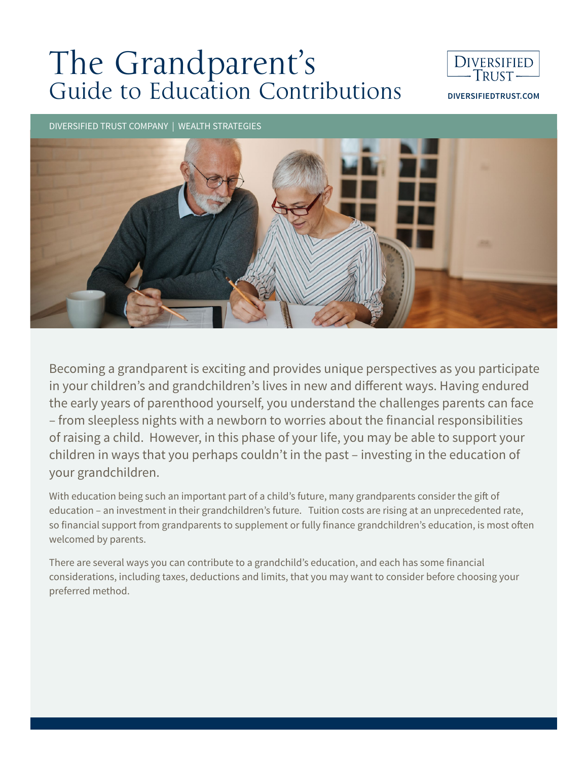# The Grandparent's Guide to Education Contributions



**DIVERSIFIEDTRUST.COM**

DIVERSIFIED TRUST COMPANY | WEALTH STRATEGIES



Becoming a grandparent is exciting and provides unique perspectives as you participate in your children's and grandchildren's lives in new and different ways. Having endured the early years of parenthood yourself, you understand the challenges parents can face – from sleepless nights with a newborn to worries about the financial responsibilities of raising a child. However, in this phase of your life, you may be able to support your children in ways that you perhaps couldn't in the past – investing in the education of your grandchildren.

With education being such an important part of a child's future, many grandparents consider the gift of education – an investment in their grandchildren's future. Tuition costs are rising at an unprecedented rate, so financial support from grandparents to supplement or fully finance grandchildren's education, is most often welcomed by parents.

There are several ways you can contribute to a grandchild's education, and each has some financial considerations, including taxes, deductions and limits, that you may want to consider before choosing your preferred method.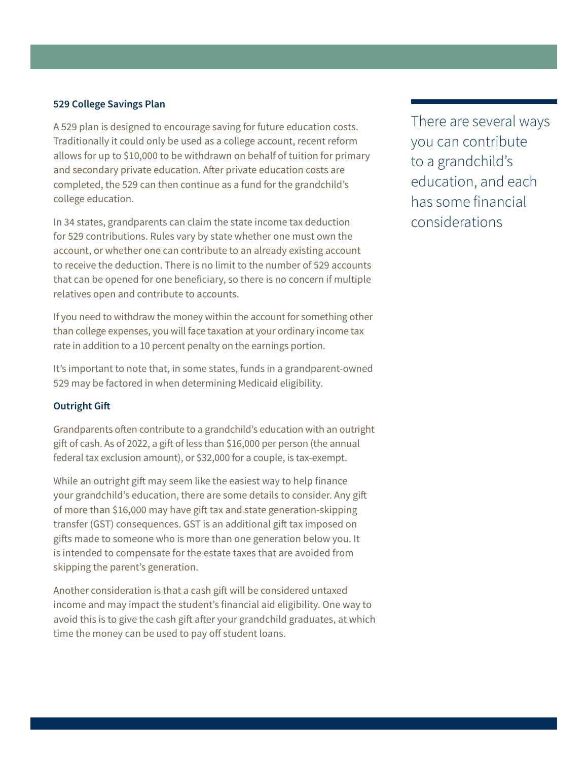## **529 College Savings Plan**

A 529 plan is designed to encourage saving for future education costs. Traditionally it could only be used as a college account, recent reform allows for up to \$10,000 to be withdrawn on behalf of tuition for primary and secondary private education. After private education costs are completed, the 529 can then continue as a fund for the grandchild's college education.

In 34 states, grandparents can claim the state income tax deduction for 529 contributions. Rules vary by state whether one must own the account, or whether one can contribute to an already existing account to receive the deduction. There is no limit to the number of 529 accounts that can be opened for one beneficiary, so there is no concern if multiple relatives open and contribute to accounts.

If you need to withdraw the money within the account for something other than college expenses, you will face taxation at your ordinary income tax rate in addition to a 10 percent penalty on the earnings portion.

It's important to note that, in some states, funds in a grandparent-owned 529 may be factored in when determining Medicaid eligibility.

# **Outright Gift**

Grandparents often contribute to a grandchild's education with an outright gift of cash. As of 2022, a gift of less than \$16,000 per person (the annual federal tax exclusion amount), or \$32,000 for a couple, is tax-exempt.

While an outright gift may seem like the easiest way to help finance your grandchild's education, there are some details to consider. Any gift of more than \$16,000 may have gift tax and state generation-skipping transfer (GST) consequences. GST is an additional gift tax imposed on gifts made to someone who is more than one generation below you. It is intended to compensate for the estate taxes that are avoided from skipping the parent's generation.

Another consideration is that a cash gift will be considered untaxed income and may impact the student's financial aid eligibility. One way to avoid this is to give the cash gift after your grandchild graduates, at which time the money can be used to pay off student loans.

There are several ways you can contribute to a grandchild's education, and each has some financial considerations